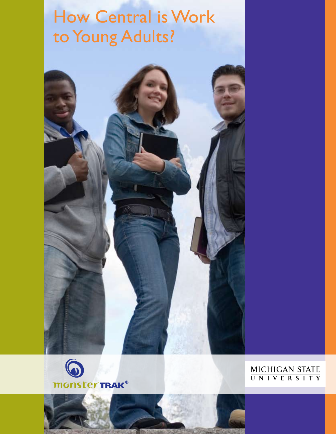# How Central is Work to Young Adults?



MICHIGAN STATE<br>UNIVERSITY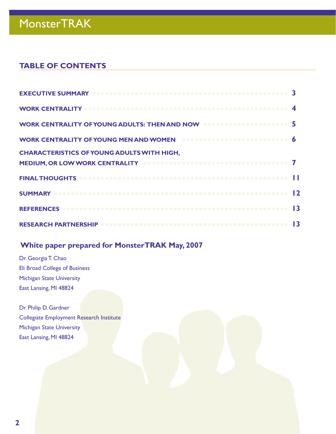### **Table of Contents**

| WORK CENTRALITY OF YOUNG ADULTS: THEN AND NOW <b>SECRETA-SERVICES 6</b>         |  |
|---------------------------------------------------------------------------------|--|
| WORK CENTRALITY OF YOUNG MEN AND WOMEN <b>SECTION CONTRACTS</b> OF <b>6</b>     |  |
| <b>CHARACTERISTICS OF YOUNG ADULTS WITH HIGH,</b>                               |  |
| MEDIUM, OR LOW WORK CENTRALITY <b>SERVICE AND ALL AND ACCEPTANCE OF A LIGHT</b> |  |
|                                                                                 |  |
|                                                                                 |  |
|                                                                                 |  |
|                                                                                 |  |

### **White paper prepared for MonsterTRAK May, 2007**

Dr. Georgia T. Chao Eli Broad College of Business Michigan State University East Lansing, MI 48824

Dr. Philip D. Gardner Collegiate Employment Research Institute Michigan State University East Lansing, MI 48824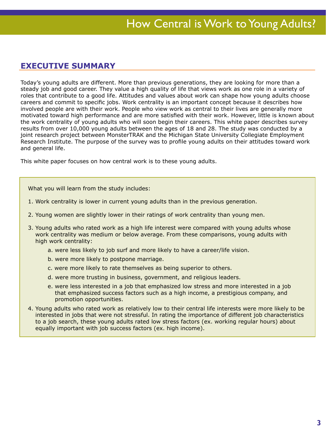### **Executive Summary**

Today's young adults are different. More than previous generations, they are looking for more than a steady job and good career. They value a high quality of life that views work as one role in a variety of roles that contribute to a good life. Attitudes and values about work can shape how young adults choose careers and commit to specific jobs. Work centrality is an important concept because it describes how involved people are with their work. People who view work as central to their lives are generally more motivated toward high performance and are more satisfied with their work. However, little is known about the work centrality of young adults who will soon begin their careers. This white paper describes survey results from over 10,000 young adults between the ages of 18 and 28. The study was conducted by a joint research project between MonsterTRAK and the Michigan State University Collegiate Employment Research Institute. The purpose of the survey was to profile young adults on their attitudes toward work and general life.

This white paper focuses on how central work is to these young adults.

What you will learn from the study includes:

- 1. Work centrality is lower in current young adults than in the previous generation.
- 2. Young women are slightly lower in their ratings of work centrality than young men.
- 3. Young adults who rated work as a high life interest were compared with young adults whose work centrality was medium or below average. From these comparisons, young adults with high work centrality:
	- a. were less likely to job surf and more likely to have a career/life vision.
	- b. were more likely to postpone marriage.
	- c. were more likely to rate themselves as being superior to others.
	- d. were more trusting in business, government, and religious leaders.
	- e. were less interested in a job that emphasized low stress and more interested in a job that emphasized success factors such as a high income, a prestigious company, and promotion opportunities.
- 4. Young adults who rated work as relatively low to their central life interests were more likely to be interested in jobs that were not stressful. In rating the importance of different job characteristics to a job search, these young adults rated low stress factors (ex. working regular hours) about equally important with job success factors (ex. high income).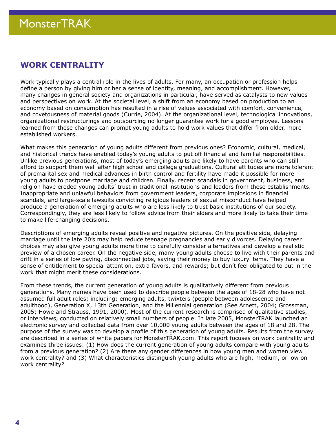### **Work Centrality**

Work typically plays a central role in the lives of adults. For many, an occupation or profession helps define a person by giving him or her a sense of identity, meaning, and accomplishment. However, many changes in general society and organizations in particular, have served as catalysts to new values and perspectives on work. At the societal level, a shift from an economy based on production to an economy based on consumption has resulted in a rise of values associated with comfort, convenience, and covetousness of material goods (Currie, 2004). At the organizational level, technological innovations, organizational restructurings and outsourcing no longer guarantee work for a good employee. Lessons learned from these changes can prompt young adults to hold work values that differ from older, more established workers.

What makes this generation of young adults different from previous ones? Economic, cultural, medical, and historical trends have enabled today's young adults to put off financial and familial responsibilities. Unlike previous generations, most of today's emerging adults are likely to have parents who can still afford to support them well after high school and college graduations. Cultural attitudes are more tolerant of premarital sex and medical advances in birth control and fertility have made it possible for more young adults to postpone marriage and children. Finally, recent scandals in government, business, and religion have eroded young adults' trust in traditional institutions and leaders from these establishments. Inappropriate and unlawful behaviors from government leaders, corporate implosions in financial scandals, and large-scale lawsuits convicting religious leaders of sexual misconduct have helped produce a generation of emerging adults who are less likely to trust basic institutions of our society. Correspondingly, they are less likely to follow advice from their elders and more likely to take their time to make life-changing decisions.

Descriptions of emerging adults reveal positive and negative pictures. On the positive side, delaying marriage until the late 20's may help reduce teenage pregnancies and early divorces. Delaying career choices may also give young adults more time to carefully consider alternatives and develop a realistic preview of a chosen career. On the negative side, many young adults choose to live with their parents and drift in a series of low paying, disconnected jobs, saving their money to buy luxury items. They have a sense of entitlement to special attention, extra favors, and rewards; but don't feel obligated to put in the work that might merit these considerations.

From these trends, the current generation of young adults is qualitatively different from previous generations. Many names have been used to describe people between the ages of 18-28 who have not assumed full adult roles; including: emerging adults, twixters (people between adolescence and adulthood), Generation X, 13th Generation, and the Millennial generation (See Arnett, 2004; Grossman, 2005; Howe and Strauss, 1991, 2000). Most of the current research is comprised of qualitative studies, or interviews, conducted on relatively small numbers of people. In late 2005, MonsterTRAK launched an electronic survey and collected data from over 10,000 young adults between the ages of 18 and 28. The purpose of the survey was to develop a profile of this generation of young adults. Results from the survey are described in a series of white papers for MonsterTRAK.com. This report focuses on work centrality and examines three issues: (1) How does the current generation of young adults compare with young adults from a previous generation? (2) Are there any gender differences in how young men and women view work centrality? and (3) What characteristics distinguish young adults who are high, medium, or low on work centrality?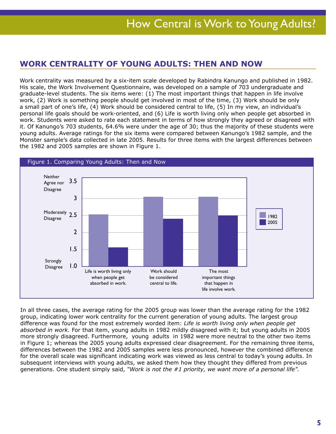### **Work Centrality of Young Adults: Then and Now**

Work centrality was measured by a six-item scale developed by Rabindra Kanungo and published in 1982. His scale, the Work Involvement Questionnaire, was developed on a sample of 703 undergraduate and graduate-level students. The six items were: (1) The most important things that happen in life involve work, (2) Work is something people should get involved in most of the time, (3) Work should be only a small part of one's life, (4) Work should be considered central to life, (5) In my view, an individual's personal life goals should be work-oriented, and (6) Life is worth living only when people get absorbed in work. Students were asked to rate each statement in terms of how strongly they agreed or disagreed with it. Of Kanungo's 703 students, 64.6% were under the age of 30; thus the majority of these students were young adults. Average ratings for the six items were compared between Kanungo's 1982 sample, and the Monster sample's data collected in late 2005. Results for three items with the largest differences between the 1982 and 2005 samples are shown in Figure 1.



In all three cases, the average rating for the 2005 group was lower than the average rating for the 1982 group, indicating lower work centrality for the current generation of young adults. The largest group difference was found for the most extremely worded item: *Life is worth living only when people get absorbed in work.* For that item, young adults in 1982 mildly disagreed with it; but young adults in 2005 more strongly disagreed. Furthermore, young adults in 1982 were more neutral to the other two items in Figure 1; whereas the 2005 young adults expressed clear disagreement. For the remaining three items, differences between the 1982 and 2005 samples were less pronounced, however the combined difference for the overall scale was significant indicating work was viewed as less central to today's young adults. In subsequent interviews with young adults, we asked them how they thought they differed from previous generations. One student simply said, *"Work is not the #1 priority, we want more of a personal life".*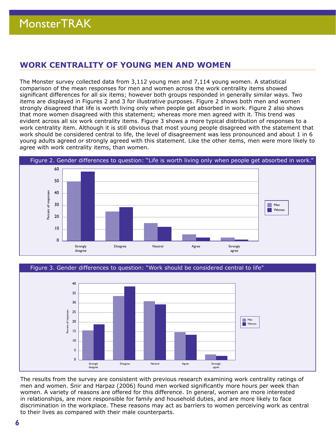### **Work Centrality of Young Men and Women**

The Monster survey collected data from 3,112 young men and 7,114 young women. A statistical comparison of the mean responses for men and women across the work centrality items showed significant differences for all six items; however both groups responded in generally similar ways. Two items are displayed in Figures 2 and 3 for illustrative purposes. Figure 2 shows both men and women strongly disagreed that life is worth living only when people get absorbed in work. Figure 2 also shows that more women disagreed with this statement; whereas more men agreed with it. This trend was evident across all six work centrality items. Figure 3 shows a more typical distribution of responses to a work centrality item. Although it is still obvious that most young people disagreed with the statement that work should be considered central to life, the level of disagreement was less pronounced and about 1 in 6 young adults agreed or strongly agreed with this statement. Like the other items, men were more likely to agree with work centrality items, than women.



Figure 3. Gender differences to question: "Work should be considered central to life"



The results from the survey are consistent with previous research examining work centrality ratings of men and women. Snir and Harpaz (2006) found men worked significantly more hours per week than women. A variety of reasons are offered for this difference. In general, women are more interested in relationships, are more responsible for family and household duties, and are more likely to face discrimination in the workplace. These reasons may act as barriers to women perceiving work as central to their lives as compared with their male counterparts.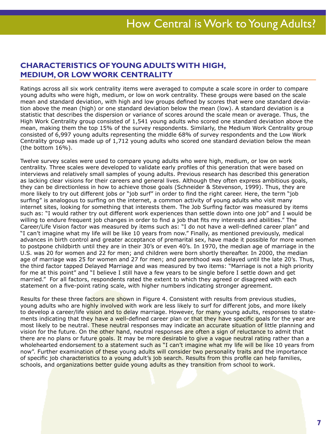### **Characteristics of Young Adults with High, Medium, or Low Work Centrality**

Ratings across all six work centrality items were averaged to compute a scale score in order to compare young adults who were high, medium, or low on work centrality. These groups were based on the scale mean and standard deviation, with high and low groups defined by scores that were one standard deviation above the mean (high) or one standard deviation below the mean (low). A standard deviation is a statistic that describes the dispersion or variance of scores around the scale mean or average. Thus, the High Work Centrality group consisted of 1,541 young adults who scored one standard deviation above the mean, making them the top 15% of the survey respondents. Similarly, the Medium Work Centrality group consisted of 6,997 young adults representing the middle 68% of survey respondents and the Low Work Centrality group was made up of 1,712 young adults who scored one standard deviation below the mean (the bottom 16%).

Twelve survey scales were used to compare young adults who were high, medium, or low on work centrality. Three scales were developed to validate early profiles of this generation that were based on interviews and relatively small samples of young adults. Previous research has described this generation as lacking clear visions for their careers and general lives. Although they often express ambitious goals, they can be directionless in how to achieve those goals (Schneider & Stevenson, 1999). Thus, they are more likely to try out different jobs or "job surf" in order to find the right career. Here, the term "iob surfing" is analogous to surfing on the internet, a common activity of young adults who visit many internet sites, looking for something that interests them. The Job Surfing factor was measured by items such as: "I would rather try out different work experiences than settle down into one job" and I would be willing to endure frequent job changes in order to find a job that fits my interests and abilities." The Career/Life Vision factor was measured by items such as: "I do not have a well-defined career plan" and "I can't imagine what my life will be like 10 years from now." Finally, as mentioned previously, medical advances in birth control and greater acceptance of premarital sex, have made it possible for more women to postpone childbirth until they are in their 30's or even 40's. In 1970, the median age of marriage in the U.S. was 20 for women and 22 for men; and children were born shortly thereafter. In 2000, the median age of marriage was 25 for women and 27 for men; and parenthood was delayed until the late 20's. Thus, the third factor tapped Delayed Marriage and was measured by two items: "Marriage is not a high priority for me at this point" and "I believe I still have a few years to be single before I settle down and get married." For all factors, respondents rated the extent to which they agreed or disagreed with each statement on a five-point rating scale, with higher numbers indicating stronger agreement.

Results for these three factors are shown in Figure 4. Consistent with results from previous studies, young adults who are highly involved with work are less likely to surf for different jobs, and more likely to develop a career/life vision and to delay marriage. However, for many young adults, responses to statements indicating that they have a well-defined career plan or that they have specific goals for the year are most likely to be neutral. These neutral responses may indicate an accurate situation of little planning and vision for the future. On the other hand, neutral responses are often a sign of reluctance to admit that there are no plans or future goals. It may be more desirable to give a vague neutral rating rather than a wholehearted endorsement to a statement such as "I can't imagine what my life will be like 10 years from now". Further examination of these young adults will consider two personality traits and the importance of specific job characteristics to a young adult's job search. Results from this profile can help families, schools, and organizations better guide young adults as they transition from school to work.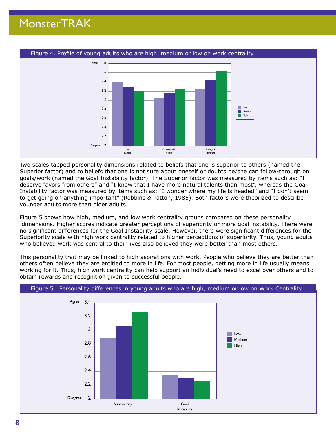

Two scales tapped personality dimensions related to beliefs that one is superior to others (named the Superior factor) and to beliefs that one is not sure about oneself or doubts he/she can follow-through on goals/work (named the Goal Instability factor). The Superior factor was measured by items such as: "I deserve favors from others" and "I know that I have more natural talents than most", whereas the Goal Instability factor was measured by items such as: "I wonder where my life is headed" and "I don't seem to get going on anything important" (Robbins & Patton, 1985). Both factors were theorized to describe younger adults more than older adults.

Figure 5 shows how high, medium, and low work centrality groups compared on these personality dimensions. Higher scores indicate greater perceptions of superiority or more goal instability. There were no significant differences for the Goal Instability scale. However, there were significant differences for the Superiority scale with high work centrality related to higher perceptions of superiority. Thus, young adults who believed work was central to their lives also believed they were better than most others.

This personality trait may be linked to high aspirations with work. People who believe they are better than others often believe they are entitled to more in life. For most people, getting more in life usually means working for it. Thus, high work centrality can help support an individual's need to excel over others and to obtain rewards and recognition given to successful people.

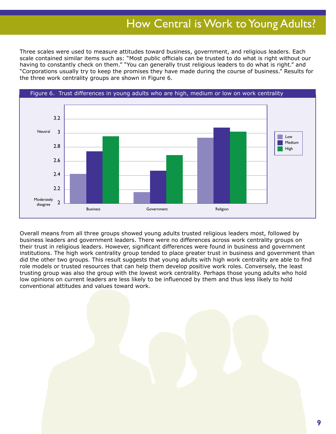## How Central is Work to Young Adults?

Three scales were used to measure attitudes toward business, government, and religious leaders. Each scale contained similar items such as: "Most public officials can be trusted to do what is right without our having to constantly check on them." "You can generally trust religious leaders to do what is right." and "Corporations usually try to keep the promises they have made during the course of business." Results for the three work centrality groups are shown in Figure 6.



Overall means from all three groups showed young adults trusted religious leaders most, followed by business leaders and government leaders. There were no differences across work centrality groups on their trust in religious leaders. However, significant differences were found in business and government institutions. The high work centrality group tended to place greater trust in business and government than did the other two groups. This result suggests that young adults with high work centrality are able to find role models or trusted resources that can help them develop positive work roles. Conversely, the least trusting group was also the group with the lowest work centrality. Perhaps those young adults who hold low opinions on current leaders are less likely to be influenced by them and thus less likely to hold conventional attitudes and values toward work.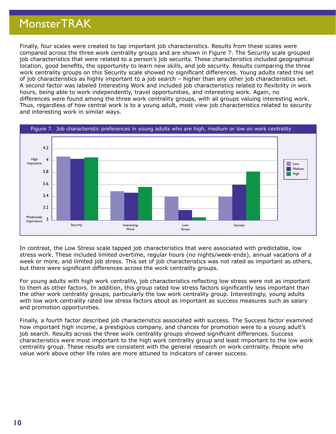Finally, four scales were created to tap important job characteristics. Results from these scales were compared across the three work centrality groups and are shown in Figure 7. The Security scale grouped job characteristics that were related to a person's job security. These characteristics included geographical location, good benefits, the opportunity to learn new skills, and job security. Results comparing the three work centrality groups on this Security scale showed no significant differences. Young adults rated this set of job characteristics as highly important to a job search – higher than any other job characteristics set. A second factor was labeled Interesting Work and included job characteristics related to flexibility in work hours, being able to work independently, travel opportunities, and interesting work. Again, no differences were found among the three work centrality groups, with all groups valuing interesting work. Thus, regardless of how central work is to a young adult, most view job characteristics related to security and interesting work in similar ways.



In contrast, the Low Stress scale tapped job characteristics that were associated with predictable, low stress work. These included limited overtime, regular hours (no nights/week-ends), annual vacations of a week or more, and limited job stress. This set of job characteristics was not rated as important as others, but there were significant differences across the work centrality groups.

For young adults with high work centrality, job characteristics reflecting low stress were not as important to them as other factors. In addition, this group rated low stress factors significantly less important than the other work centrality groups, particularly the low work centrality group. Interestingly, young adults with low work centrality rated low stress factors about as important as success measures such as salary and promotion opportunities.

Finally, a fourth factor described job characteristics associated with success. The Success factor examined how important high income, a prestigious company, and chances for promotion were to a young adult's job search. Results across the three work centrality groups showed significant differences. Success characteristics were most important to the high work centrality group and least important to the low work centrality group. These results are consistent with the general research on work centrality. People who value work above other life roles are more attuned to indicators of career success.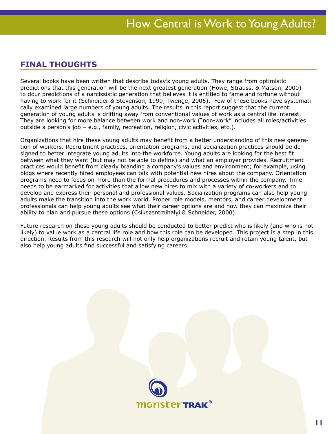### **Final Thoughts**

Several books have been written that describe today's young adults. They range from optimistic predictions that this generation will be the next greatest generation (Howe, Strauss, & Matson, 2000) to dour predictions of a narcissistic generation that believes it is entitled to fame and fortune without having to work for it (Schneider & Stevenson, 1999; Twenge, 2006). Few of these books have systematically examined large numbers of young adults. The results in this report suggest that the current generation of young adults is drifting away from conventional values of work as a central life interest. They are looking for more balance between work and non-work ("non-work" includes all roles/activities outside a person's job – e.g., family, recreation, religion, civic activities, etc.).

Organizations that hire these young adults may benefit from a better understanding of this new generation of workers. Recruitment practices, orientation programs, and socialization practices should be designed to better integrate young adults into the workforce. Young adults are looking for the best fit between what they want (but may not be able to define) and what an employer provides. Recruitment practices would benefit from clearly branding a company's values and environment; for example, using blogs where recently hired employees can talk with potential new hires about the company. Orientation programs need to focus on more than the formal procedures and processes within the company. Time needs to be earmarked for activities that allow new hires to mix with a variety of co-workers and to develop and express their personal and professional values. Socialization programs can also help young adults make the transition into the work world. Proper role models, mentors, and career development professionals can help young adults see what their career options are and how they can maximize their ability to plan and pursue these options (Csikszentmihalyi & Schneider, 2000).

Future research on these young adults should be conducted to better predict who is likely (and who is not likely) to value work as a central life role and how this role can be developed. This project is a step in this direction. Results from this research will not only help organizations recruit and retain young talent, but also help young adults find successful and satisfying careers.

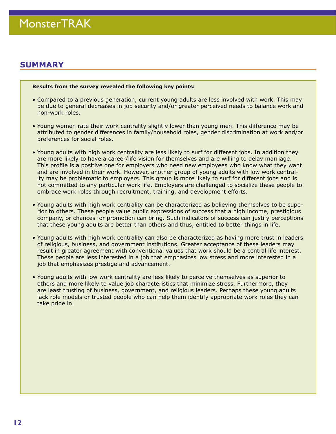### **Summary**

#### **Results from the survey revealed the following key points:**

- Compared to a previous generation, current young adults are less involved with work. This may be due to general decreases in job security and/or greater perceived needs to balance work and non-work roles.
- Young women rate their work centrality slightly lower than young men. This difference may be attributed to gender differences in family/household roles, gender discrimination at work and/or preferences for social roles.
- Young adults with high work centrality are less likely to surf for different jobs. In addition they are more likely to have a career/life vision for themselves and are willing to delay marriage. This profile is a positive one for employers who need new employees who know what they want and are involved in their work. However, another group of young adults with low work centrality may be problematic to employers. This group is more likely to surf for different jobs and is not committed to any particular work life. Employers are challenged to socialize these people to embrace work roles through recruitment, training, and development efforts.
- Young adults with high work centrality can be characterized as believing themselves to be superior to others. These people value public expressions of success that a high income, prestigious company, or chances for promotion can bring. Such indicators of success can justify perceptions that these young adults are better than others and thus, entitled to better things in life.
- Young adults with high work centrality can also be characterized as having more trust in leaders of religious, business, and government institutions. Greater acceptance of these leaders may result in greater agreement with conventional values that work should be a central life interest. These people are less interested in a job that emphasizes low stress and more interested in a job that emphasizes prestige and advancement.
- Young adults with low work centrality are less likely to perceive themselves as superior to others and more likely to value job characteristics that minimize stress. Furthermore, they are least trusting of business, government, and religious leaders. Perhaps these young adults lack role models or trusted people who can help them identify appropriate work roles they can take pride in.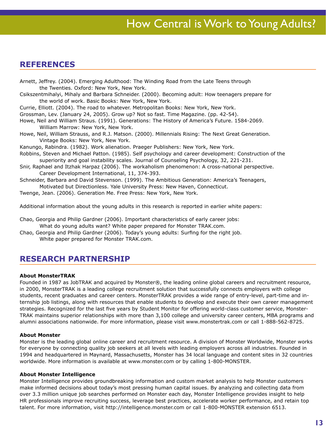### **REFERENCES**

- Arnett, Jeffrey. (2004). Emerging Adulthood: The Winding Road from the Late Teens through the Twenties. Oxford: New York, New York.
- Csikszentmihalyi, Mihaly and Barbara Schneider. (2000). Becoming adult: How teenagers prepare for the world of work. Basic Books: New York, New York.
- Currie, Elliott. (2004). The road to whatever. Metropolitan Books: New York, New York.
- Grossman, Lev. (January 24, 2005). Grow up? Not so fast. Time Magazine. (pp. 42-54).
- Howe, Neil and William Straus. (1991). Generations: The History of America's Future. 1584-2069. William Marrow: New York, New York.
- Howe, Neil, William Strauss, and R.J. Matson. (2000). Millennials Rising: The Next Great Generation. Vintage Books: New York, New York.
- Kanungo, Rabindra. (1982). Work alienation. Praeger Publishers: New York, New York.
- Robbins, Steven and Michael Patton. (1985). Self psychology and career development: Construction of the superiority and goal instability scales. Journal of Counseling Psychology, 32, 221-231.
- Snir, Raphael and Itzhak Harpaz (2006). The workaholism phenomenon: A cross-national perspective. Career Development International, 11, 374-393.
- Schneider, Barbara and David Stevenson. (1999). The Ambitious Generation: America's Teenagers, Motivated but Directionless. Yale University Press: New Haven, Connecticut.
- Twenge, Jean. (2006). Generation Me. Free Press: New York, New York.

Additional information about the young adults in this research is reported in earlier white papers:

- Chao, Georgia and Philip Gardner (2006). Important characteristics of early career jobs: What do young adults want? White paper prepared for Monster TRAK.com.
- Chao, Georgia and Philip Gardner (2006). Today's young adults: Surfing for the right job. White paper prepared for Monster TRAK.com.

### **RESEARCH PARTNERSHIP**

#### **About MonsterTRAK**

Founded in 1987 as JobTRAK and acquired by Monster®, the leading online global careers and recruitment resource, in 2000, MonsterTRAK is a leading college recruitment solution that successfully connects employers with college students, recent graduates and career centers. MonsterTRAK provides a wide range of entry-level, part-time and internship job listings, along with resources that enable students to develop and execute their own career management strategies. Recognized for the last five years by Student Monitor for offering world-class customer service, Monster-TRAK maintains superior relationships with more than 3,100 college and university career centers, MBA programs and alumni associations nationwide. For more information, please visit www.monstertrak.com or call 1-888-562-8725.

#### **About Monster**

Monster is the leading global online career and recruitment resource. A division of Monster Worldwide, Monster works for everyone by connecting quality job seekers at all levels with leading employers across all industries. Founded in 1994 and headquartered in Maynard, Massachusetts, Monster has 34 local language and content sites in 32 countries worldwide. More information is available at www.monster.com or by calling 1-800-MONSTER.

#### **About Monster Intelligence**

Monster Intelligence provides groundbreaking information and custom market analysis to help Monster customers make informed decisions about today's most pressing human capital issues. By analyzing and collecting data from over 3.3 million unique job searches performed on Monster each day, Monster Intelligence provides insight to help HR professionals improve recruiting success, leverage best practices, accelerate worker performance, and retain top talent. For more information, visit http://intelligence.monster.com or call 1-800-MONSTER extension 6513.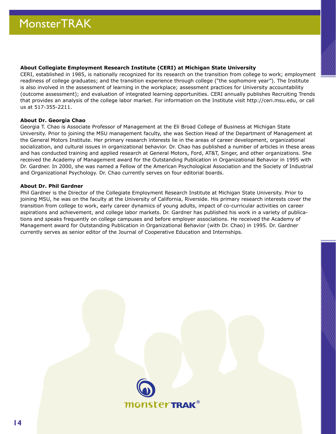#### **About Collegiate Employment Research Institute (CERI) at Michigan State University**

CERI, established in 1985, is nationally recognized for its research on the transition from college to work; employment readiness of college graduates; and the transition experience through college ("the sophomore year"). The Institute is also involved in the assessment of learning in the workplace; assessment practices for University accountability (outcome assessment); and evaluation of integrated learning opportunities. CERI annually publishes Recruiting Trends that provides an analysis of the college labor market. For information on the Institute visit http://ceri.msu.edu, or call us at 517-355-2211.

#### **About Dr. Georgia Chao**

Georgia T. Chao is Associate Professor of Management at the Eli Broad College of Business at Michigan State University. Prior to joining the MSU management faculty, she was Section Head of the Department of Management at the General Motors Institute. Her primary research interests lie in the areas of career development, organizational socialization, and cultural issues in organizational behavior. Dr. Chao has published a number of articles in these areas and has conducted training and applied research at General Motors, Ford, AT&T, Singer, and other organizations. She received the Academy of Management award for the Outstanding Publication in Organizational Behavior in 1995 with Dr. Gardner. In 2000, she was named a Fellow of the American Psychological Association and the Society of Industrial and Organizational Psychology. Dr. Chao currently serves on four editorial boards.

#### **About Dr. Phil Gardner**

Phil Gardner is the Director of the Collegiate Employment Research Institute at Michigan State University. Prior to joining MSU, he was on the faculty at the University of California, Riverside. His primary research interests cover the transition from college to work, early career dynamics of young adults, impact of co-curricular activities on career aspirations and achievement, and college labor markets. Dr. Gardner has published his work in a variety of publications and speaks frequently on college campuses and before employer associations. He received the Academy of Management award for Outstanding Publication in Organizational Behavior (with Dr. Chao) in 1995. Dr. Gardner currently serves as senior editor of the Journal of Cooperative Education and Internships.